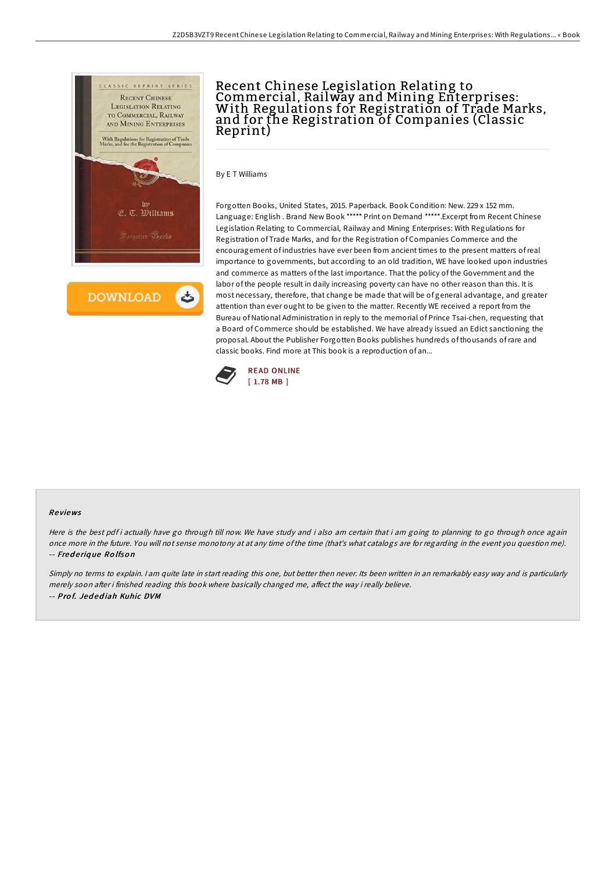

**DOWNLOAD** 

## Recent Chinese Legislation Relating to Commercial, Railway and Mining Enterprises: With Regulations for Registration of Trade Marks, and for the Registration of Companies (Classic Reprint)

By E T Williams

Forgotten Books, United States, 2015. Paperback. Book Condition: New. 229 x 152 mm. Language: English . Brand New Book \*\*\*\*\* Print on Demand \*\*\*\*\*.Excerpt from Recent Chinese Legislation Relating to Commercial, Railway and Mining Enterprises: With Regulations for Registration of Trade Marks, and for the Registration of Companies Commerce and the encouragement of industries have ever been from ancient times to the present matters ofreal importance to governments, but according to an old tradition, WE have looked upon industries and commerce as matters of the last importance. That the policy of the Government and the labor of the people result in daily increasing poverty can have no other reason than this. It is most necessary, therefore, that change be made that will be of general advantage, and greater attention than ever ought to be given to the matter. Recently WE received a report from the Bureau of National Administration in reply to the memorial of Prince Tsai-chen, requesting that a Board of Commerce should be established. We have already issued an Edict sanctioning the proposal. About the Publisher Forgotten Books publishes hundreds of thousands ofrare and classic books. Find more at This book is a reproduction of an...



## Re views

Here is the best pdf i actually have go through till now. We have study and i also am certain that i am going to planning to go through once again once more in the future. You will not sense monotony at at any time ofthe time (that's what catalogs are for regarding in the event you question me). -- Fred <sup>e</sup> riq ue Ro lfso <sup>n</sup>

Simply no terms to explain. I am quite late in start reading this one, but better then never. Its been written in an remarkably easy way and is particularly merely soon after i finished reading this book where basically changed me, affect the way i really believe. -- Prof. Jedediah Kuhic DVM